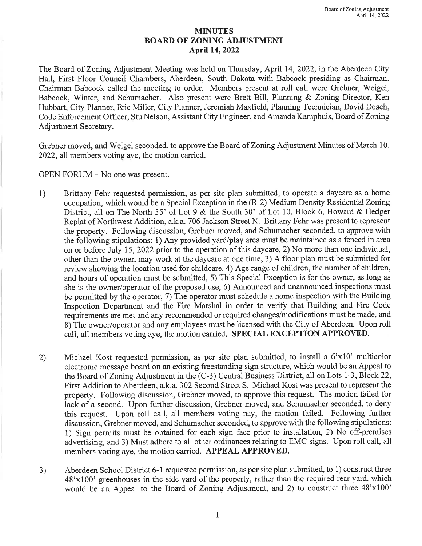## MINUTES BOARD OF ZONING ADJUSTMENT April 14, 2022

The Board of Zoning Adjustment Meeting was held on Thursday, April 14, 2022, in the Aberdeen City Hall, First Floor Council Chambers, Aberdeen, South Dakota with Babcock presiding as Chairman. Chairman Babcock called the meeting to order. Members present at roll call were Grebner, Weigel, Babcock, Winter, and Schumacher. Also present were Brett Bill, Planning & Zoning Director, Ken Hubbart, City Planner, Eric Miller, City Planner, Jeremiah Maxfield, Planning Technician, David Dosch, Code Enforcement Officer, Stu Nelson, Assistant City Engineer, and Amanda Kamphuis, Board of Zoning Adjustment Secretary.

Grebner moved, and Weigel seconded, to approve the Board of Zoning Adjustment Minutes of March 10, 2022, all members voting aye, the motion carried.

OPEN FORUM - No one was present.

- 1) Brittany Fehr requested permission, as per site plan submitted, to operate <sup>a</sup> daycare as <sup>a</sup> home occupation, which would be <sup>a</sup> Special Exception in the (R-2) Medium Density Residential Zoning District, all on The North 35' of Lot 9 & the South 30' of Lot 10, Block 6, Howard & Hedger Replat of Northwest Addition, a.k.a. 706 Jackson Street N. Brittany Fehr was present to represent the property. Following discussion, Grebner moved, and Schumacher seconded, to approve with the following stipulations: 1) Any provided yard/play area must be maintained as <sup>a</sup> fenced in area on or before July 15, 2022 prior to the operation of this daycare, 2) No more than one individual, other than the owner, may work at the daycare at one time, 3) A floor plan must be submitted for review showing the location used for childcare, 4) Age range of children, the number of children, and hours of operation must be submitted, 5) This Special Exception is for the owner, as long as she is the owner/operator of the proposed use, 6) Announced and unannounced inspections must be permitted by the operator, 7) The operator must schedule <sup>a</sup> home inspection with the Building Inspection Department and the Fire Marshal in order to verify that Building and Fire Code requirements are met and any recommended or required changes/modifications must be made, and 8) The owner/operator and any employees must be licensed with the City of Aberdeen. Upon roll call, all members voting aye, the motion carried. SPECIAL EXCEPTION APPROVED.
- 2) Michael Kost requested permission, as per site plan submitted, to install a 6'x10' multicolor electronic message board on an existing freestanding sign structure, which would be an Appeal to the Board of Zoning Adjustment in the (C-3) Central Business District, all on Lots 1-3, Block 22, First Addition to Aberdeen, a.k.a. 302 Second Street S. Michael Kost was present to represent the property. Following discussion, Grebner moved, to approve this request. The motion failed for lack of <sup>a</sup> second. Upon further discussion, Grebner moved, and Schumacher seconded, to deny this request. Upon roll call, all members voting nay, the motion failed. Following further discussion, Grebner moved, and Schumacher seconded, to approve with the following stipulations: 1) Sign permits must be obtained for each sign face prior to installation, 2) No off-premises advertising, and 3) Must adhere to all other ordinances relating to EMC signs. Upon roll call, all members voting aye, the motion carried. APPEAL APPROVED.
- 3) Aberdeen School District 6-1 requested permission, as per site plan submitted, to 1) construct three  $48'x100'$  greenhouses in the side yard of the property, rather than the required rear yard, which would be an Appeal to the Board of Zoning Adjustment, and 2) to construct three 48'xl00'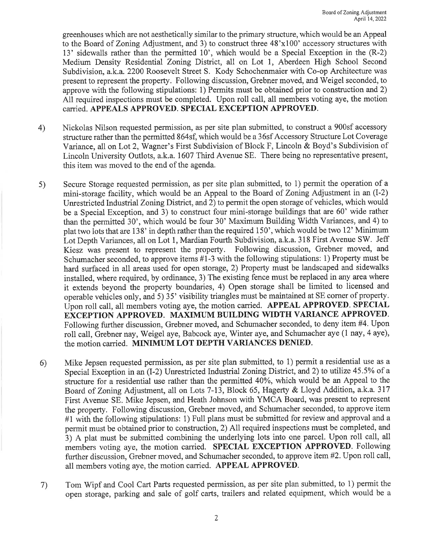greenhouses which are not aesthetically similar to the primary structure, which would be an Appeal to the Board of Zoning Adjustment, and 3) to construct three 48'xl00' accessory structures with 13' sidewalls rather than the permitted 10', which would be <sup>a</sup> Special Exception in the (R-2) Medium Density Residential Zoning District, all on Lot 1, Aberdeen High School Second Subdivision, a.k.a. 2200 Roosevelt Street S. Kody Schochenmaier with Co-op Architecture was present to represent the property. Following discussion, Grebner moved, and Weigel seconded, to approve with the following stipulations: 1) Permits must be obtained prior to construction and 2) All required inspections must be completed. Upon roll call, all members voting aye, the motion carried. APPEALS APPROVED. SPECIAL EXCEPTION APPROVED.

- 4) Nickolas Nilson requested permission, as per site plan submitted, to construct <sup>a</sup> 900sf accessory structure rather than the permitted 864sf, which would be a 36sf Accessory Structure Lot Coverage Variance, all on Lot 2, Wagner's First Subdivision of Block F, Lincoln & Boyd's Subdivision of Lincoln University Outlots, a.k.a. 1607 Third Avenue SE. There being no representative present, this item was moved to the end of the agenda.
- 5) Secure Storage requested permission, as per site plan submitted, to 1) permit the operation of <sup>a</sup> mini-storage facility, which would be an Appeal to the Board of Zoning Adjustment in an (1-2) Unrestricted Industrial Zoning District, and 2) to permit the open storage of vehicles, which would be <sup>a</sup> Special Exception, and 3) to construct four mini-storage buildings that are 60' wide rather than the permitted 30', which would be four 30' Maximum Building Width Variances, and 4) to plat two lots that are 138' in depth rather than the required 150', which would be two 12' Minimum Lot Depth Variances, all on Lot 1, Mardian Fourth Subdivision, a.k.a. <sup>318</sup> First Avenue SW. Jeff Kiesz was present to represent the property. Following discussion, Grebner moved, and Schumacher seconded, to approve items #1-3 with the following stipulations: 1) Property must be hard surfaced in all areas used for open storage, 2) Property must be landscaped and sidewalks installed, where required, by ordinance, 3) The existing fence must be replaced in any area where it extends beyond the property boundaries, 4) Open storage shall be limited to licensed and operable vehicles only, and 5) 35' visibility triangles must be maintained at SE corner of property. Upon roll call, all members voting aye, the motion carried. APPEAL APPROVED. SPECIAL EXCEPTION APPROVED. MAXIMUM BUILDING WIDTH VARIANCE APPROVED. Following further discussion, Grebner moved, and Schumacher seconded, to deny item #4. Upon roll call, Grebner nay, Weigel aye, Babcock aye, Winter aye, and Schumacher aye (1 nay, <sup>4</sup> aye), the motion carried. MINIMUM LOT DEPTH VARIANCES DENIED.
- 6) Mike Jepsen requested permission, as per site plan submitted, to 1) permit <sup>a</sup> residential use as <sup>a</sup> Special Exception in an (1-2) Unrestricted Industrial Zoning District, and 2) to utilize 45.5% of <sup>a</sup> structure for <sup>a</sup> residential use rather than the permitted 40%, which would be an Appeal to the Board of Zoning Adjustment, all on Lots 7-13, Block 65, Hagerty & Lloyd Addition, a.k.a. <sup>317</sup> First Avenue SE. Mike Jepsen, and Heath Johnson with YMCA Board, was present to represent the property. Following discussion, Grebner moved, and Schumacher seconded, to approve item #1 with the following stipulations: 1) Full plans must be submitted for review and approval and a permit must be obtained prior to construction, 2) All required inspections must be completed, and 3) <sup>A</sup> plat must be submitted combining the underlying lots into one parcel. Upon roll call, all members voting aye, the motion carried. SPECIAL EXCEPTION APPROVED. Following further discussion, Grebner moved, and Schumacher seconded, to approve item #2. Upon roll call, all members voting aye, the motion carried. APPEAL APPROVED.
- 7) Tom Wipf and Cool Cart Parts requested permission, as per site plan submitted, to 1) permit the open storage, parking and sale of golf carts, trailers and related equipment, which would be <sup>a</sup>